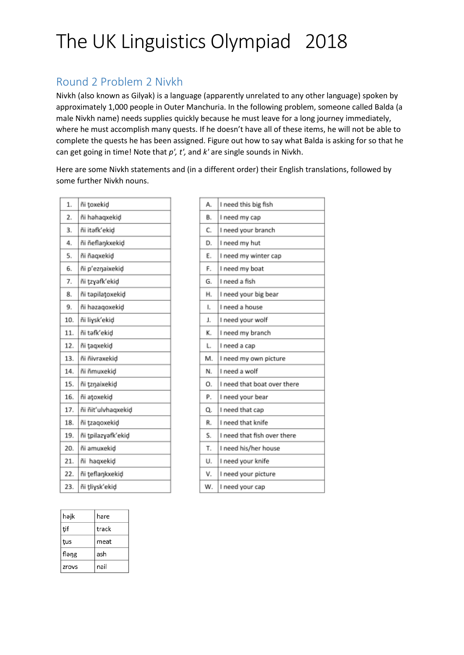### Round 2 Problem 2 Nivkh

Nivkh (also known as Gilyak) is a language (apparently unrelated to any other language) spoken by approximately 1,000 people in Outer Manchuria. In the following problem, someone called Balda (a male Nivkh name) needs supplies quickly because he must leave for a long journey immediately, where he must accomplish many quests. If he doesn't have all of these items, he will not be able to complete the quests he has been assigned. Figure out how to say what Balda is asking for so that he can get going in time! Note that *p', t',* and *k'* are single sounds in Nivkh.

Here are some Nivkh statements and (in a different order) their English translations, followed by some further Nivkh nouns.

| 1.  | ñi toxekid         |
|-----|--------------------|
| 2.  | ñi həhaqxekid      |
| 3.  | ñi itafk'ekid      |
| 4.  | ñi ñeflaŋkxekiḍ    |
| 5.  | ñi ñagxekid        |
| 6.  | ñi p'eznaixekid    |
| 7.  | ñi tzyəfk'ekid     |
| 8.  | ñi təpilatoxekid   |
| 9.  | ñi həzaqoxekid     |
| 10. | ñi liγsk'ekid      |
| 11. | ñi təfk'ekid       |
| 12. | ñi taqxekid        |
| 13. | ñi ñivrəxekid      |
| 14. | ñi ñmuxekid        |
| 15. | ñi tzŋaixekiḍ      |
| 16. | ñi atoxekid        |
| 17. | ñi ñit'ulvhagxekid |
| 18. | ñi tzagoxekid      |
| 19. | ñi tpilazyəfk'ekid |
| 20. | ñi amuxekid        |
| 21. | ñi hagxekid        |
| 22. | ñi teflaŋkxekid    |
| 23. | ñi tliysk'ekid     |
|     |                    |

| həjk  | hare  |
|-------|-------|
| ţif   | track |
| tus   | meat  |
| fləŋg | ash   |
| zrovs | nail  |

| A. | I need this big fish        |
|----|-----------------------------|
| В. | I need my cap               |
| C. | I need your branch          |
| D. | I need my hut               |
| Е. | I need my winter cap        |
| F. | I need my boat              |
| G. | I need a fish               |
| Н. | I need your big bear        |
| I. | I need a house              |
| J. | I need your wolf            |
| к. | I need my branch            |
| L. | I need a cap                |
| M. | I need my own picture       |
| N. | I need a wolf               |
| О. | I need that boat over there |
| Ρ. | I need your bear            |
| Q. | I need that cap             |
| R. | I need that knife           |
| S. | I need that fish over there |
| Т. | I need his/her house        |
| U. | I need your knife           |
| ٧. | I need your picture         |
| w. | I need your cap             |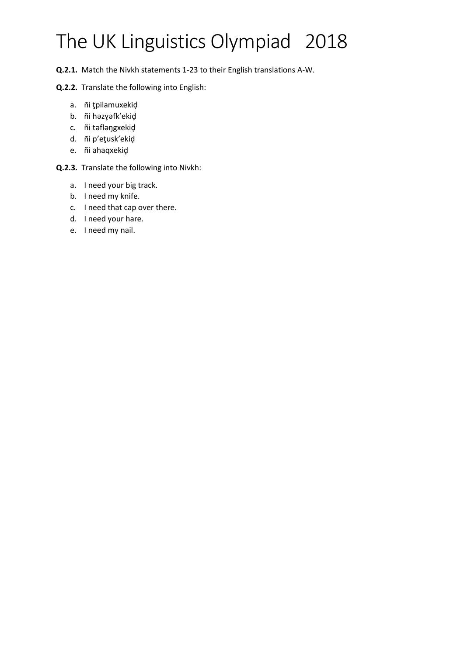**Q.2.1.** Match the Nivkh statements 1-23 to their English translations A-W.

### **Q.2.2.** Translate the following into English:

- a. ñi ţpilamuxekiḑ
- b. ñi hәzɣәfk'ekiḑ
- c. ñi tәfləŋgxekiḑ
- d. ñi p'eţusk'ekiḑ
- e. ñi ahaqxekiḑ

### **Q.2.3.** Translate the following into Nivkh:

- a. I need your big track.
- b. I need my knife.
- c. I need that cap over there.
- d. I need your hare.
- e. I need my nail.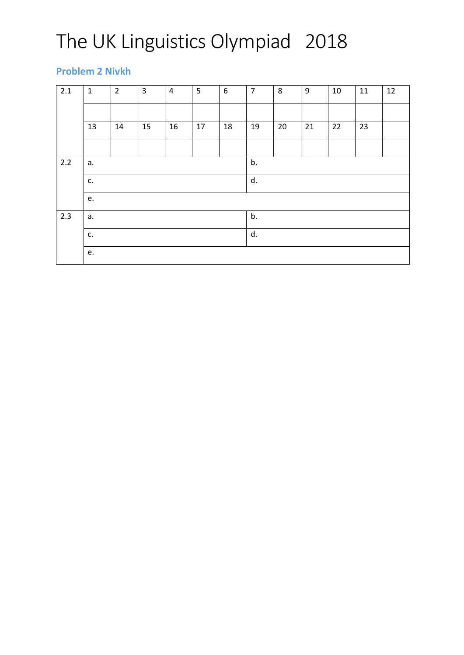### **Problem 2 Nivkh**

| 2.1 | $\mathbf{1}$ | $\overline{2}$ | $\overline{3}$ | $\overline{4}$ | 5  | 6  | $\overline{7}$ | 8  | 9  | 10 | 11 | 12 |  |  |
|-----|--------------|----------------|----------------|----------------|----|----|----------------|----|----|----|----|----|--|--|
|     |              |                |                |                |    |    |                |    |    |    |    |    |  |  |
|     | 13           | 14             | 15             | 16             | 17 | 18 | 19             | 20 | 21 | 22 | 23 |    |  |  |
|     |              |                |                |                |    |    |                |    |    |    |    |    |  |  |
| 2.2 | a.<br>c.     |                |                |                |    |    |                | b. |    |    |    |    |  |  |
|     |              |                |                |                |    |    |                | d. |    |    |    |    |  |  |
|     | e.           |                |                |                |    |    |                |    |    |    |    |    |  |  |
| 2.3 | a.           |                |                |                |    |    |                | b. |    |    |    |    |  |  |
|     | c.           |                |                |                |    | d. |                |    |    |    |    |    |  |  |
|     | e.           |                |                |                |    |    |                |    |    |    |    |    |  |  |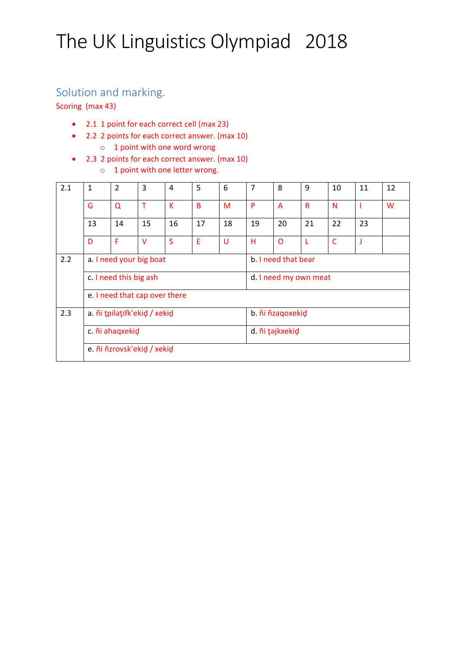### Solution and marking.

Scoring (max 43)

- 2.1 1 point for each correct cell (max 23)
- 2.2 2 points for each correct answer. (max 10) o 1 point with one word wrong
- 2.3 2 points for each correct answer. (max 10)
	- o 1 point with one letter wrong.

| 2.1 | 1                             | $\overline{2}$         | 3      | 4  | 5  | 6                     | 7  | 8                   | 9            | 10           | 11 | 12 |  |  |
|-----|-------------------------------|------------------------|--------|----|----|-----------------------|----|---------------------|--------------|--------------|----|----|--|--|
|     | G                             | $\Omega$               | T      | К  | B  | M                     | P  | A                   | $\mathsf{R}$ | N            |    | W  |  |  |
|     | 13                            | 14                     | 15     | 16 | 17 | 18                    | 19 | 20                  | 21           | 22           | 23 |    |  |  |
|     | D                             | F                      | $\vee$ | S  | E  | U                     | н  | O                   | L            | $\mathsf{C}$ | J  |    |  |  |
| 2.2 | a. I need your big boat       |                        |        |    |    |                       |    | b. I need that bear |              |              |    |    |  |  |
|     |                               | c. I need this big ash |        |    |    | d. I need my own meat |    |                     |              |              |    |    |  |  |
|     | e. I need that cap over there |                        |        |    |    |                       |    |                     |              |              |    |    |  |  |
| 2.3 | a. ñi tpilațifk'ekid / xekid  |                        |        |    |    |                       |    | b. ñi ñzaqoxekid    |              |              |    |    |  |  |
|     | c. ñi ahaqxekid               |                        |        |    |    |                       |    | d. ñi təjkxekid     |              |              |    |    |  |  |
|     | e. ñi ñzrovsk'ekid / xekid    |                        |        |    |    |                       |    |                     |              |              |    |    |  |  |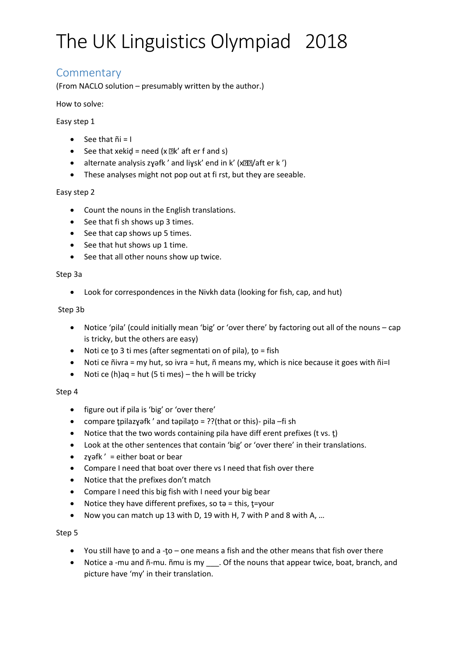### **Commentary**

(From NACLO solution – presumably written by the author.)

#### How to solve:

### Easy step 1

- $\bullet$  See that  $\tilde{n}i = I$
- See that xekid = need  $(x \times k'$  aft er f and s)
- alternate analysis zyәfk' and liysk' end in k' (x $22/$ aft er k')
- These analyses might not pop out at fi rst, but they are seeable.

#### Easy step 2

- Count the nouns in the English translations.
- See that fi sh shows up 3 times.
- See that cap shows up 5 times.
- See that hut shows up 1 time.
- See that all other nouns show up twice.

#### Step 3a

• Look for correspondences in the Nivkh data (looking for fish, cap, and hut)

#### Step 3b

- Notice 'pila' (could initially mean 'big' or 'over there' by factoring out all of the nouns cap is tricky, but the others are easy)
- Noti ce to 3 ti mes (after segmentati on of pila), to = fish
- Noti ce ñivra = my hut, so ivra = hut, ñ means my, which is nice because it goes with ñi=I
- Noti ce  $(h)$ aq = hut (5 ti mes) the h will be tricky

#### Step 4

- figure out if pila is 'big' or 'over there'
- compare tpilazyәfk ' and tәpilato = ??(that or this)- pila –fi sh
- Notice that the two words containing pila have diff erent prefixes (t vs. t)
- Look at the other sentences that contain 'big' or 'over there' in their translations.
- zyәfk' = either boat or bear
- Compare I need that boat over there vs I need that fish over there
- Notice that the prefixes don't match
- Compare I need this big fish with I need your big bear
- Notice they have different prefixes, so tә = this, t=your
- Now you can match up 13 with D, 19 with H, 7 with P and 8 with A, …

#### Step 5

- You still have ţo and a -ţo one means a fish and the other means that fish over there
- Notice a -mu and ñ-mu. ñmu is my \_\_\_. Of the nouns that appear twice, boat, branch, and picture have 'my' in their translation.